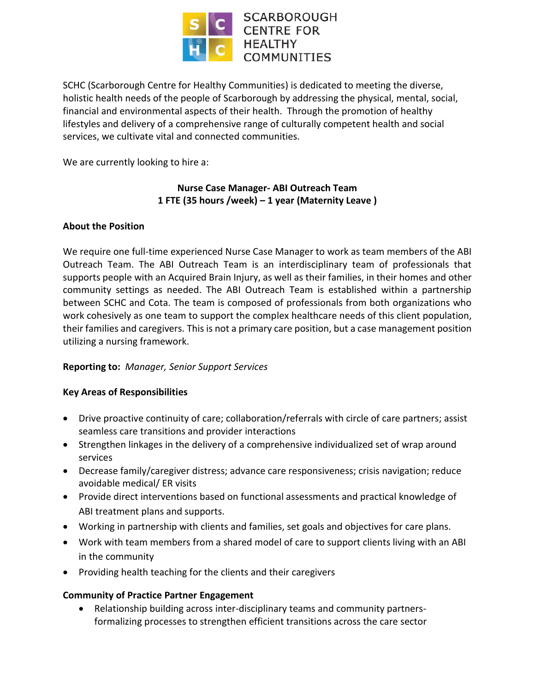

SCHC (Scarborough Centre for Healthy Communities) is dedicated to meeting the diverse, holistic health needs of the people of Scarborough by addressing the physical, mental, social, financial and environmental aspects of their health. Through the promotion of healthy lifestyles and delivery of a comprehensive range of culturally competent health and social services, we cultivate vital and connected communities.

We are currently looking to hire a:

# **Nurse Case Manager- ABI Outreach Team 1 FTE (35 hours /week) – 1 year (Maternity Leave )**

### **About the Position**

We require one full-time experienced Nurse Case Manager to work as team members of the ABI Outreach Team. The ABI Outreach Team is an interdisciplinary team of professionals that supports people with an Acquired Brain Injury, as well as their families, in their homes and other community settings as needed. The ABI Outreach Team is established within a partnership between SCHC and Cota. The team is composed of professionals from both organizations who work cohesively as one team to support the complex healthcare needs of this client population, their families and caregivers. This is not a primary care position, but a case management position utilizing a nursing framework.

#### **Reporting to:** *Manager, Senior Support Services*

#### **Key Areas of Responsibilities**

- Drive proactive continuity of care; collaboration/referrals with circle of care partners; assist seamless care transitions and provider interactions
- Strengthen linkages in the delivery of a comprehensive individualized set of wrap around services
- Decrease family/caregiver distress; advance care responsiveness; crisis navigation; reduce avoidable medical/ ER visits
- Provide direct interventions based on functional assessments and practical knowledge of ABI treatment plans and supports.
- Working in partnership with clients and families, set goals and objectives for care plans.
- Work with team members from a shared model of care to support clients living with an ABI in the community
- Providing health teaching for the clients and their caregivers

# **Community of Practice Partner Engagement**

 Relationship building across inter-disciplinary teams and community partnersformalizing processes to strengthen efficient transitions across the care sector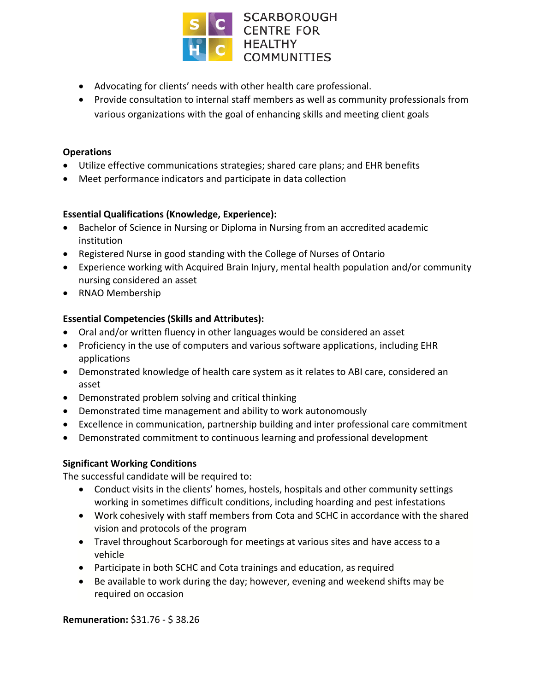

- Advocating for clients' needs with other health care professional.
- Provide consultation to internal staff members as well as community professionals from various organizations with the goal of enhancing skills and meeting client goals

### **Operations**

- Utilize effective communications strategies; shared care plans; and EHR benefits
- Meet performance indicators and participate in data collection

# **Essential Qualifications (Knowledge, Experience):**

- Bachelor of Science in Nursing or Diploma in Nursing from an accredited academic institution
- Registered Nurse in good standing with the College of Nurses of Ontario
- Experience working with Acquired Brain Injury, mental health population and/or community nursing considered an asset
- RNAO Membership

# **Essential Competencies (Skills and Attributes):**

- Oral and/or written fluency in other languages would be considered an asset
- Proficiency in the use of computers and various software applications, including EHR applications
- Demonstrated knowledge of health care system as it relates to ABI care, considered an asset
- Demonstrated problem solving and critical thinking
- Demonstrated time management and ability to work autonomously
- Excellence in communication, partnership building and inter professional care commitment
- Demonstrated commitment to continuous learning and professional development

# **Significant Working Conditions**

The successful candidate will be required to:

- Conduct visits in the clients' homes, hostels, hospitals and other community settings working in sometimes difficult conditions, including hoarding and pest infestations
- Work cohesively with staff members from Cota and SCHC in accordance with the shared vision and protocols of the program
- Travel throughout Scarborough for meetings at various sites and have access to a vehicle
- Participate in both SCHC and Cota trainings and education, as required
- Be available to work during the day; however, evening and weekend shifts may be required on occasion

**Remuneration:** \$31.76 - \$ 38.26